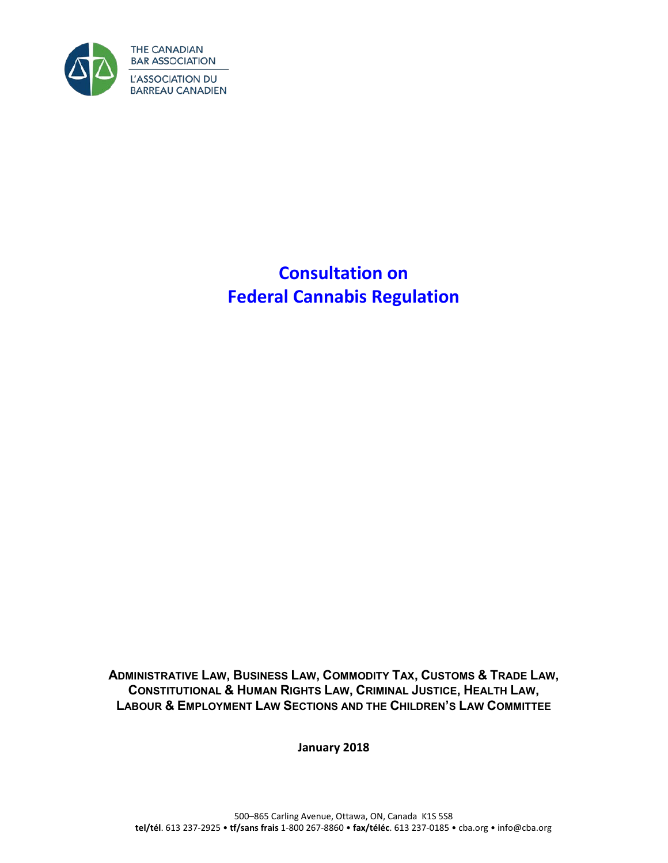

**Consultation on Federal Cannabis Regulation**

**ADMINISTRATIVE LAW, BUSINESS LAW, COMMODITY TAX, CUSTOMS & TRADE LAW, CONSTITUTIONAL & HUMAN RIGHTS LAW, CRIMINAL JUSTICE, HEALTH LAW, LABOUR & EMPLOYMENT LAW SECTIONS AND THE CHILDREN'S LAW COMMITTEE** 

**January 2018**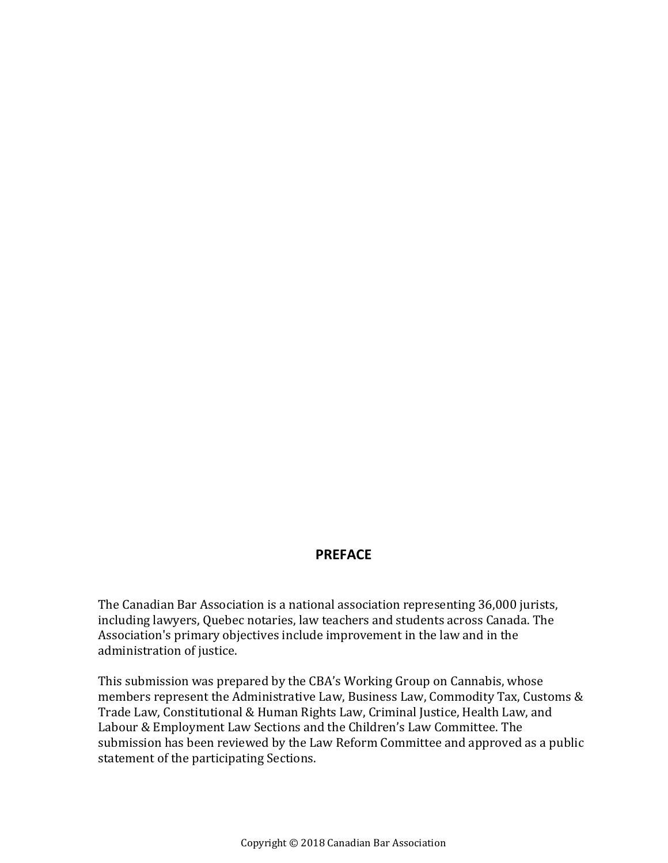#### **PREFACE**

The Canadian Bar Association is a national association representing 36,000 jurists, including lawyers, Quebec notaries, law teachers and students across Canada. The Association's primary objectives include improvement in the law and in the administration of justice.

This submission was prepared by the CBA's Working Group on Cannabis, whose members represent the Administrative Law, Business Law, Commodity Tax, Customs & Trade Law, Constitutional & Human Rights Law, Criminal Justice, Health Law, and Labour & Employment Law Sections and the Children's Law Committee. The submission has been reviewed by the Law Reform Committee and approved as a public statement of the participating Sections.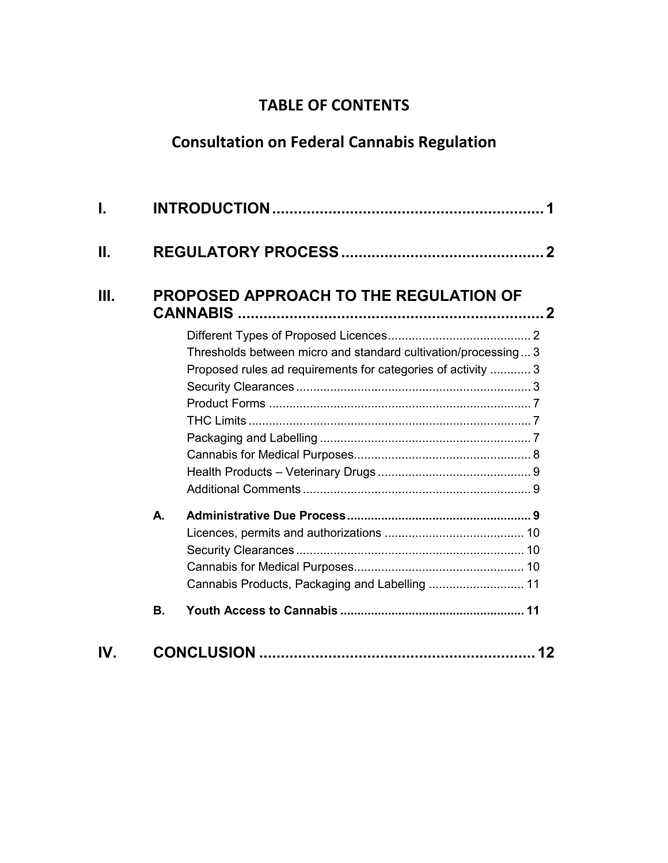## **TABLE OF CONTENTS**

# **Consultation on Federal Cannabis Regulation**

| I.   |          |                                                                                                                                |  |
|------|----------|--------------------------------------------------------------------------------------------------------------------------------|--|
| Ш.   |          |                                                                                                                                |  |
| III. |          | <b>PROPOSED APPROACH TO THE REGULATION OF</b>                                                                                  |  |
|      |          | Thresholds between micro and standard cultivation/processing 3<br>Proposed rules ad requirements for categories of activity  3 |  |
|      | А.<br>В. | Cannabis Products, Packaging and Labelling  11                                                                                 |  |
| IV.  |          | 12                                                                                                                             |  |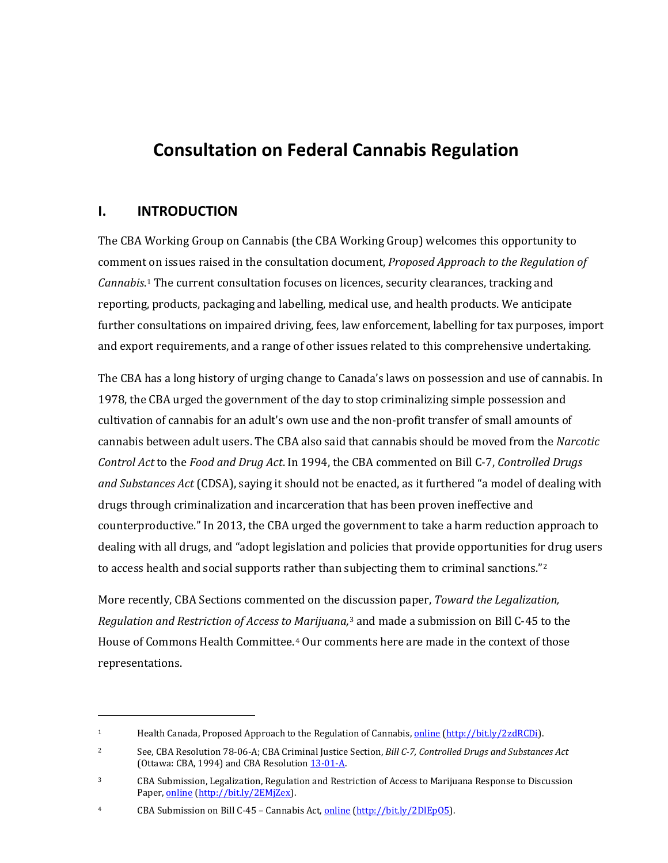## **Consultation on Federal Cannabis Regulation**

### <span id="page-4-0"></span>**I. INTRODUCTION**

I

The CBA Working Group on Cannabis (the CBA Working Group) welcomes this opportunity to comment on issues raised in the consultation document, *Proposed Approach to the Regulation of Cannabis*.[1](#page-4-1) The current consultation focuses on licences, security clearances, tracking and reporting, products, packaging and labelling, medical use, and health products. We anticipate further consultations on impaired driving, fees, law enforcement, labelling for tax purposes, import and export requirements, and a range of other issues related to this comprehensive undertaking.

The CBA has a long history of urging change to Canada's laws on possession and use of cannabis. In 1978, the CBA urged the government of the day to stop criminalizing simple possession and cultivation of cannabis for an adult's own use and the non-profit transfer of small amounts of cannabis between adult users. The CBA also said that cannabis should be moved from the *Narcotic Control Act* to the *Food and Drug Act*. In 1994, the CBA commented on Bill C-7, *Controlled Drugs and Substances Act* (CDSA), saying it should not be enacted, as it furthered "a model of dealing with drugs through criminalization and incarceration that has been proven ineffective and counterproductive." In 2013, the CBA urged the government to take a harm reduction approach to dealing with all drugs, and "adopt legislation and policies that provide opportunities for drug users to access health and social supports rather than subjecting them to criminal sanctions." $2$ 

More recently, CBA Sections commented on the d[is](#page-4-3)cussion paper, *Toward the Legalization, Regulation and Restriction of Access to Marijuana,*<sup>3</sup> and made a submission on Bill C-45 to the House of Commons Health Committee.[4](#page-4-4) Our comments here are made in the context of those representations.

<span id="page-4-1"></span><sup>&</sup>lt;sup>1</sup> Health Canada, Proposed Approach to the Regulation of Cannabis, [online](https://www.canada.ca/en/health-canada/programs/consultation-proposed-approach-regulation-cannabis/proposed-approach-regulation-cannabis.html) [\(http://bit.ly/2zdRCDi\)](http://bit.ly/2zdRCDi).

<span id="page-4-2"></span><sup>2</sup> See, CBA Resolution 78-06-A; CBA Criminal Justice Section, *Bill C-7, Controlled Drugs and Substances Act*  (Ottawa: CBA, 1994) and CBA Resolution [13-01-A.](http://www.cba.org/getattachment/Our-Work/Resolutions/Resolutions/2013/Harm-Reduction-Drug-Policy/13-01-A-ct.pdf) 

<span id="page-4-3"></span><sup>3</sup> CBA Submission, Legalization, Regulation and Restriction of Access to Marijuana Response to Discussion Paper[, online](http://www.cba.org/CMSPages/GetFile.aspx?guid=c0efad9e-31b6-4cf1-9ab4-858743eec975) [\(http://bit.ly/2EMjZex\)](http://bit.ly/2EMjZex).

<span id="page-4-4"></span><sup>4</sup> CBA Submission on Bill C-45 – Cannabis Act[, online](http://www.cba.org/CMSPages/GetFile.aspx?guid=c77032fb-5053-444b-98bf-6f83f414590d) [\(http://bit.ly/2DlEpO5\)](http://bit.ly/2DlEpO5).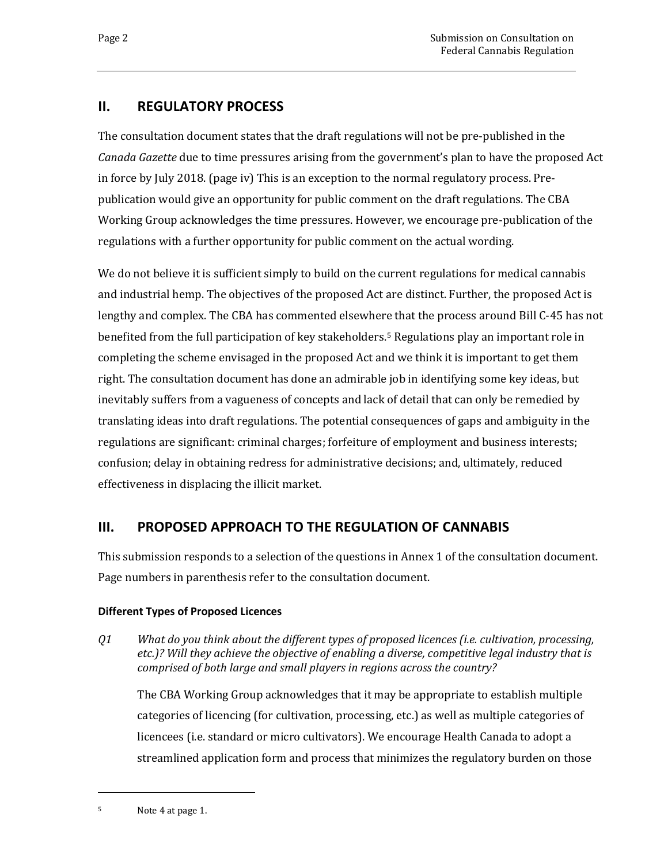## <span id="page-5-0"></span>**II. REGULATORY PROCESS**

The consultation document states that the draft regulations will not be pre-published in the *Canada Gazette* due to time pressures arising from the government's plan to have the proposed Act in force by July 2018. (page iv) This is an exception to the normal regulatory process. Prepublication would give an opportunity for public comment on the draft regulations. The CBA Working Group acknowledges the time pressures. However, we encourage pre-publication of the regulations with a further opportunity for public comment on the actual wording.

We do not believe it is sufficient simply to build on the current regulations for medical cannabis and industrial hemp. The objectives of the proposed Act are distinct. Further, the proposed Act is lengthy and complex. The CBA has commented elsewhere that the process around Bill C-45 has not benefited from the full participation of key stakeholders.[5](#page-5-3) Regulations play an important role in completing the scheme envisaged in the proposed Act and we think it is important to get them right. The consultation document has done an admirable job in identifying some key ideas, but inevitably suffers from a vagueness of concepts and lack of detail that can only be remedied by translating ideas into draft regulations. The potential consequences of gaps and ambiguity in the regulations are significant: criminal charges; forfeiture of employment and business interests; confusion; delay in obtaining redress for administrative decisions; and, ultimately, reduced effectiveness in displacing the illicit market.

## <span id="page-5-1"></span>**III. PROPOSED APPROACH TO THE REGULATION OF CANNABIS**

This submission responds to a selection of the questions in Annex 1 of the consultation document. Page numbers in parenthesis refer to the consultation document.

#### <span id="page-5-2"></span>**Different Types of Proposed Licences**

*Q1 What do you think about the different types of proposed licences (i.e. cultivation, processing, etc.)? Will they achieve the objective of enabling a diverse, competitive legal industry that is comprised of both large and small players in regions across the country?*

The CBA Working Group acknowledges that it may be appropriate to establish multiple categories of licencing (for cultivation, processing, etc.) as well as multiple categories of licencees (i.e. standard or micro cultivators). We encourage Health Canada to adopt a streamlined application form and process that minimizes the regulatory burden on those

<span id="page-5-3"></span><sup>5</sup> Note 4 at page 1.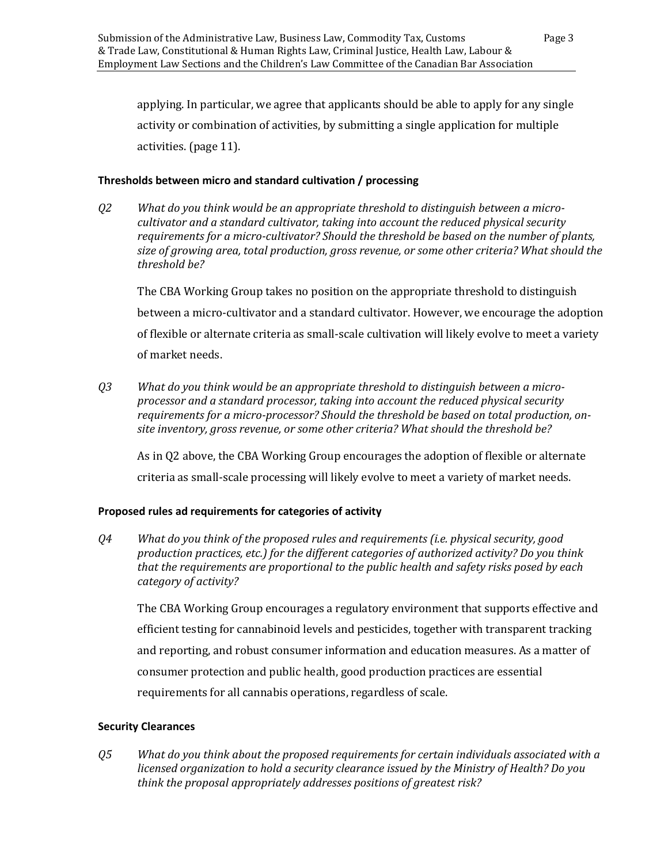applying. In particular, we agree that applicants should be able to apply for any single activity or combination of activities, by submitting a single application for multiple activities. (page 11).

#### <span id="page-6-0"></span>**Thresholds between micro and standard cultivation / processing**

*Q2 What do you think would be an appropriate threshold to distinguish between a microcultivator and a standard cultivator, taking into account the reduced physical security requirements for a micro-cultivator? Should the threshold be based on the number of plants, size of growing area, total production, gross revenue, or some other criteria? What should the threshold be?*

The CBA Working Group takes no position on the appropriate threshold to distinguish between a micro-cultivator and a standard cultivator. However, we encourage the adoption of flexible or alternate criteria as small-scale cultivation will likely evolve to meet a variety of market needs.

*Q3 What do you think would be an appropriate threshold to distinguish between a microprocessor and a standard processor, taking into account the reduced physical security requirements for a micro-processor? Should the threshold be based on total production, onsite inventory, gross revenue, or some other criteria? What should the threshold be?*

As in Q2 above, the CBA Working Group encourages the adoption of flexible or alternate criteria as small-scale processing will likely evolve to meet a variety of market needs.

#### <span id="page-6-1"></span>**Proposed rules ad requirements for categories of activity**

*Q4 What do you think of the proposed rules and requirements (i.e. physical security, good production practices, etc.) for the different categories of authorized activity? Do you think that the requirements are proportional to the public health and safety risks posed by each category of activity?*

The CBA Working Group encourages a regulatory environment that supports effective and efficient testing for cannabinoid levels and pesticides, together with transparent tracking and reporting, and robust consumer information and education measures. As a matter of consumer protection and public health, good production practices are essential requirements for all cannabis operations, regardless of scale.

#### <span id="page-6-2"></span>**Security Clearances**

*Q5 What do you think about the proposed requirements for certain individuals associated with a licensed organization to hold a security clearance issued by the Ministry of Health? Do you think the proposal appropriately addresses positions of greatest risk?*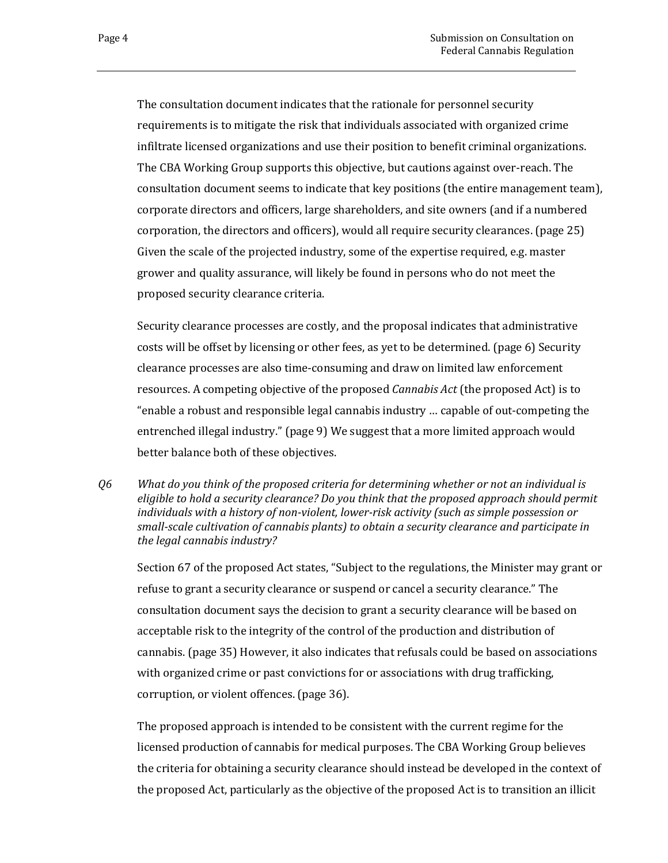The consultation document indicates that the rationale for personnel security requirements is to mitigate the risk that individuals associated with organized crime infiltrate licensed organizations and use their position to benefit criminal organizations. The CBA Working Group supports this objective, but cautions against over-reach. The consultation document seems to indicate that key positions (the entire management team), corporate directors and officers, large shareholders, and site owners (and if a numbered corporation, the directors and officers), would all require security clearances. (page 25) Given the scale of the projected industry, some of the expertise required, e.g. master grower and quality assurance, will likely be found in persons who do not meet the proposed security clearance criteria.

Security clearance processes are costly, and the proposal indicates that administrative costs will be offset by licensing or other fees, as yet to be determined. (page 6) Security clearance processes are also time-consuming and draw on limited law enforcement resources. A competing objective of the proposed *Cannabis Act* (the proposed Act) is to "enable a robust and responsible legal cannabis industry … capable of out-competing the entrenched illegal industry." (page 9) We suggest that a more limited approach would better balance both of these objectives.

*Q6 What do you think of the proposed criteria for determining whether or not an individual is eligible to hold a security clearance? Do you think that the proposed approach should permit individuals with a history of non-violent, lower-risk activity (such as simple possession or small-scale cultivation of cannabis plants) to obtain a security clearance and participate in the legal cannabis industry?*

Section 67 of the proposed Act states, "Subject to the regulations, the Minister may grant or refuse to grant a security clearance or suspend or cancel a security clearance." The consultation document says the decision to grant a security clearance will be based on acceptable risk to the integrity of the control of the production and distribution of cannabis. (page 35) However, it also indicates that refusals could be based on associations with organized crime or past convictions for or associations with drug trafficking, corruption, or violent offences. (page 36).

The proposed approach is intended to be consistent with the current regime for the licensed production of cannabis for medical purposes. The CBA Working Group believes the criteria for obtaining a security clearance should instead be developed in the context of the proposed Act, particularly as the objective of the proposed Act is to transition an illicit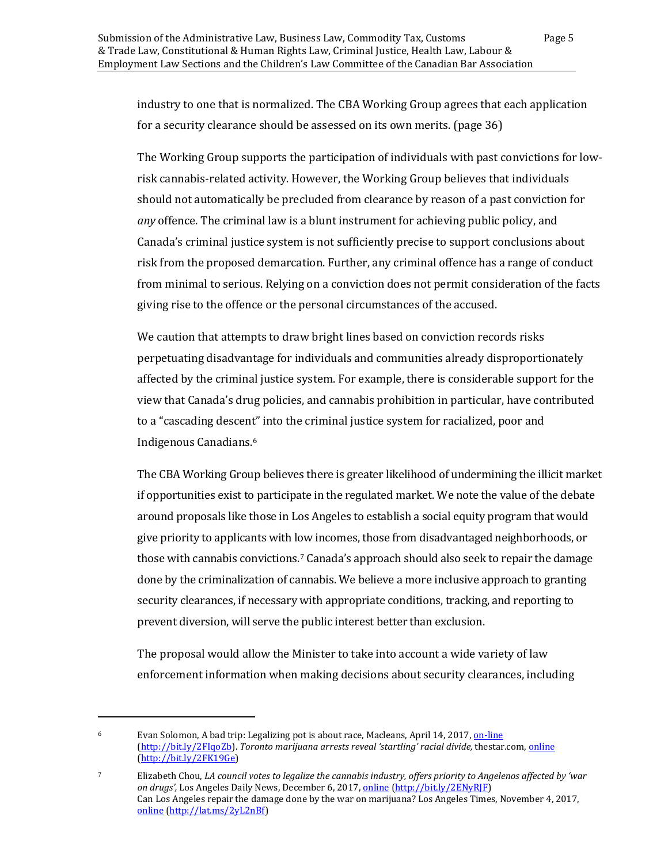industry to one that is normalized. The CBA Working Group agrees that each application for a security clearance should be assessed on its own merits. (page 36)

The Working Group supports the participation of individuals with past convictions for lowrisk cannabis-related activity. However, the Working Group believes that individuals should not automatically be precluded from clearance by reason of a past conviction for *any* offence. The criminal law is a blunt instrument for achieving public policy, and Canada's criminal justice system is not sufficiently precise to support conclusions about risk from the proposed demarcation. Further, any criminal offence has a range of conduct from minimal to serious. Relying on a conviction does not permit consideration of the facts giving rise to the offence or the personal circumstances of the accused.

We caution that attempts to draw bright lines based on conviction records risks perpetuating disadvantage for individuals and communities already disproportionately affected by the criminal justice system. For example, there is considerable support for the view that Canada's drug policies, and cannabis prohibition in particular, have contributed to a "cascading descent" into the criminal justice system for racialized, poor and Indigenous Canadians.[6](#page-8-0) 

The CBA Working Group believes there is greater likelihood of undermining the illicit market if opportunities exist to participate in the regulated market. We note the value of the debate around proposals like those in Los Angeles to establish a social equity program that would give priority to applicants with low incomes, those from disadvantaged neighborhoods, or those with cannabis convictions[.7](#page-8-1) Canada's approach should also seek to repair the damage done by the criminalization of cannabis. We believe a more inclusive approach to granting security clearances, if necessary with appropriate conditions, tracking, and reporting to prevent diversion, will serve the public interest better than exclusion.

The proposal would allow the Minister to take into account a wide variety of law enforcement information when making decisions about security clearances, including

<span id="page-8-0"></span><sup>&</sup>lt;sup>6</sup> Evan Solomon, A bad trip: Legalizing pot is about race, Macleans, April 14, 2017[, on-line](http://www.macleans.ca/politics/ottawa/a-bad-trip-legalizing-pot-is-about-race/) [\(http://bit.ly/2FIqoZb\)](http://bit.ly/2FIqoZb). *Toronto marijuana arrests reveal 'startling' racial divide,* thestar.com, [online](https://www.thestar.com/news/insight/2017/07/06/toronto-marijuana-arrests-reveal-startling-racial-divide.html) [\(http://bit.ly/2FK19Ge\)](http://bit.ly/2FK19Ge)

<span id="page-8-1"></span><sup>7</sup> Elizabeth Chou, *LA council votes to legalize the cannabis industry, offers priority to Angelenos affected by 'war on drugs',* Los Angeles Daily News, December 6, 2017, [online](https://www.dailynews.com/2017/12/06/la-legalizes-the-cannabis-industry-offers-priority-to-angelenos-affected-by-war-on-drugs/) [\(http://bit.ly/2ENyRJF\)](http://bit.ly/2ENyRJF) Can Los Angeles repair the damage done by the war on marijuana? Los Angeles Times, November 4, 2017, [online](http://www.latimes.com/opinion/editorials/la-ed-social-equity-marijuana-20171104-story.html) [\(http://lat.ms/2yL2nBf\)](http://lat.ms/2yL2nBf)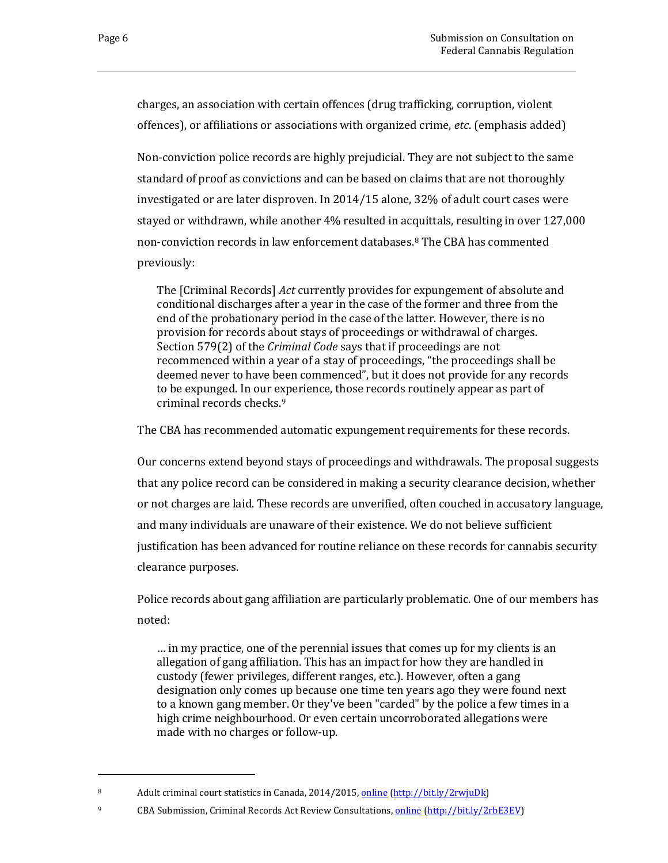i<br>I

charges, an association with certain offences (drug trafficking, corruption, violent offences), or affiliations or associations with organized crime, *etc*. (emphasis added)

Non-conviction police records are highly prejudicial. They are not subject to the same standard of proof as convictions and can be based on claims that are not thoroughly investigated or are later disproven. In 2014/15 alone, 32% of adult court cases were stayed or withdrawn, while another 4% resulted in acquittals, resulting in over 127,000 non-conviction records in law enforcement databases.[8](#page-9-0) The CBA has commented previously:

The [Criminal Records] *Act* currently provides for expungement of absolute and conditional discharges after a year in the case of the former and three from the end of the probationary period in the case of the latter. However, there is no provision for records about stays of proceedings or withdrawal of charges. Section 579(2) of the *Criminal Code* says that if proceedings are not recommenced within a year of a stay of proceedings, "the proceedings shall be deemed never to have been commenced", but it does not provide for any records to be expunged. In our experience, those records routinely appear as part of criminal records checks.[9](#page-9-1)

The CBA has recommended automatic expungement requirements for these records.

Our concerns extend beyond stays of proceedings and withdrawals. The proposal suggests that any police record can be considered in making a security clearance decision, whether or not charges are laid. These records are unverified, often couched in accusatory language, and many individuals are unaware of their existence. We do not believe sufficient justification has been advanced for routine reliance on these records for cannabis security clearance purposes.

Police records about gang affiliation are particularly problematic. One of our members has noted:

… in my practice, one of the perennial issues that comes up for my clients is an allegation of gang affiliation. This has an impact for how they are handled in custody (fewer privileges, different ranges, etc.). However, often a gang designation only comes up because one time ten years ago they were found next to a known gang member. Or they've been "carded" by the police a few times in a high crime neighbourhood. Or even certain uncorroborated allegations were made with no charges or follow-up.

<span id="page-9-0"></span><sup>8</sup> Adult criminal court statistics in Canada, 2014/2015[, online](https://www.statcan.gc.ca/pub/85-002-x/2017001/article/14699-eng.htm) [\(http://bit.ly/2rwjuDk\)](http://bit.ly/2rwjuDk)

<span id="page-9-1"></span><sup>9</sup> CBA Submission, Criminal Records Act Review Consultations[, online](http://www.cba.org/CMSPages/GetFile.aspx?guid=20180c79-ba99-4320-b4a5-7aa1f0f10bb4) [\(http://bit.ly/2rbE3EV\)](http://bit.ly/2rbE3EV)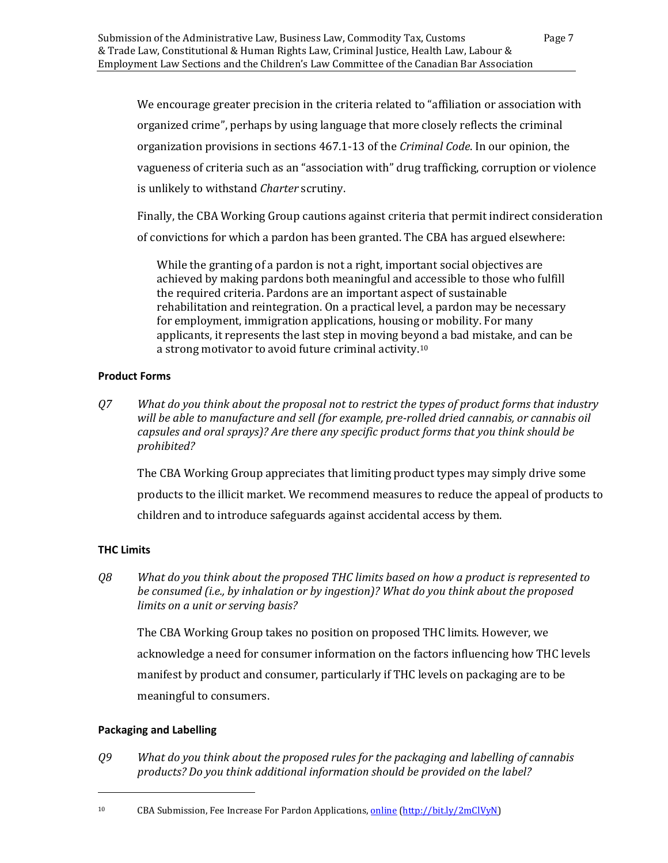We encourage greater precision in the criteria related to "affiliation or association with organized crime", perhaps by using language that more closely reflects the criminal organization provisions in sections 467.1-13 of the *Criminal Code*. In our opinion, the vagueness of criteria such as an "association with" drug trafficking, corruption or violence is unlikely to withstand *Charter* scrutiny.

Finally, the CBA Working Group cautions against criteria that permit indirect consideration of convictions for which a pardon has been granted. The CBA has argued elsewhere:

While the granting of a pardon is not a right, important social objectives are achieved by making pardons both meaningful and accessible to those who fulfill the required criteria. Pardons are an important aspect of sustainable rehabilitation and reintegration. On a practical level, a pardon may be necessary for employment, immigration applications, housing or mobility. For many applicants, it represents the last step in moving bey[on](#page-10-3)d a bad mistake, and can be a strong motivator to avoid future criminal activity.10

#### <span id="page-10-0"></span>**Product Forms**

*Q7 What do you think about the proposal not to restrict the types of product forms that industry will be able to manufacture and sell (for example, pre-rolled dried cannabis, or cannabis oil capsules and oral sprays)? Are there any specific product forms that you think should be prohibited?*

The CBA Working Group appreciates that limiting product types may simply drive some products to the illicit market. We recommend measures to reduce the appeal of products to children and to introduce safeguards against accidental access by them.

#### <span id="page-10-1"></span>**THC Limits**

*Q8 What do you think about the proposed THC limits based on how a product is represented to be consumed (i.e., by inhalation or by ingestion)? What do you think about the proposed limits on a unit or serving basis?*

The CBA Working Group takes no position on proposed THC limits. However, we acknowledge a need for consumer information on the factors influencing how THC levels manifest by product and consumer, particularly if THC levels on packaging are to be meaningful to consumers.

#### <span id="page-10-2"></span>**Packaging and Labelling**

i<br>I

*Q9 What do you think about the proposed rules for the packaging and labelling of cannabis products? Do you think additional information should be provided on the label?*

<span id="page-10-3"></span><sup>10</sup> CBA Submission, Fee Increase For Pardon Applications, [online](https://www.cba.org/CMSPages/GetFile.aspx?guid=3071f404-b551-48cf-a40d-edde542088b5) [\(http://bit.ly/2mClVyN\)](http://bit.ly/2mClVyN)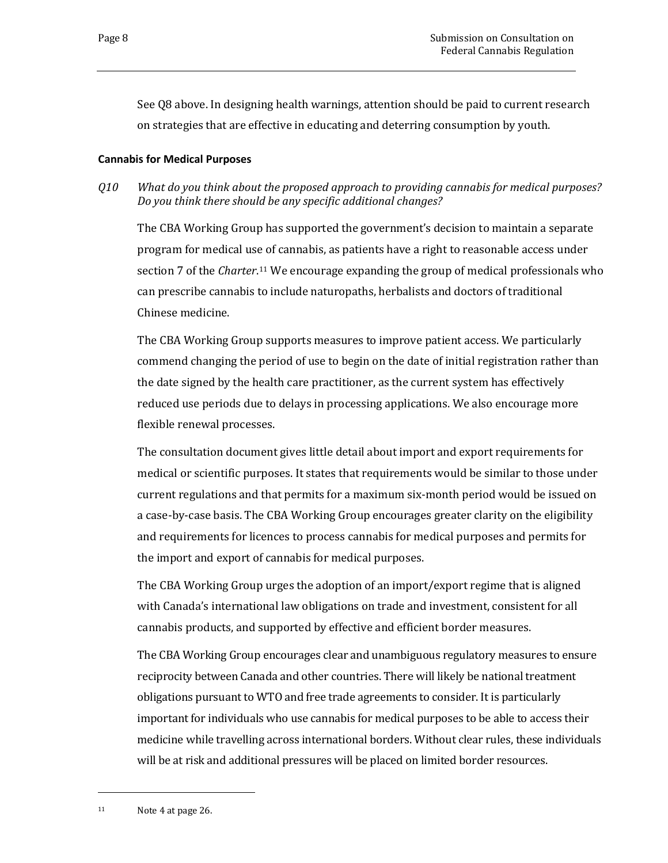See Q8 above. In designing health warnings, attention should be paid to current research on strategies that are effective in educating and deterring consumption by youth.

#### <span id="page-11-0"></span>**Cannabis for Medical Purposes**

*Q10 What do you think about the proposed approach to providing cannabis for medical purposes? Do you think there should be any specific additional changes?*

The CBA Working Group has supported the government's decision to maintain a separate program for medical use of cannabis, as patients have a right to reasonable access under section 7 of the *Charter*.[11](#page-11-1) We encourage expanding the group of medical professionals who can prescribe cannabis to include naturopaths, herbalists and doctors of traditional Chinese medicine.

The CBA Working Group supports measures to improve patient access. We particularly commend changing the period of use to begin on the date of initial registration rather than the date signed by the health care practitioner, as the current system has effectively reduced use periods due to delays in processing applications. We also encourage more flexible renewal processes.

The consultation document gives little detail about import and export requirements for medical or scientific purposes. It states that requirements would be similar to those under current regulations and that permits for a maximum six-month period would be issued on a case-by-case basis. The CBA Working Group encourages greater clarity on the eligibility and requirements for licences to process cannabis for medical purposes and permits for the import and export of cannabis for medical purposes.

The CBA Working Group urges the adoption of an import/export regime that is aligned with Canada's international law obligations on trade and investment, consistent for all cannabis products, and supported by effective and efficient border measures.

The CBA Working Group encourages clear and unambiguous regulatory measures to ensure reciprocity between Canada and other countries. There will likely be national treatment obligations pursuant to WTO and free trade agreements to consider. It is particularly important for individuals who use cannabis for medical purposes to be able to access their medicine while travelling across international borders. Without clear rules, these individuals will be at risk and additional pressures will be placed on limited border resources.

<span id="page-11-1"></span><sup>11</sup> Note 4 at page 26.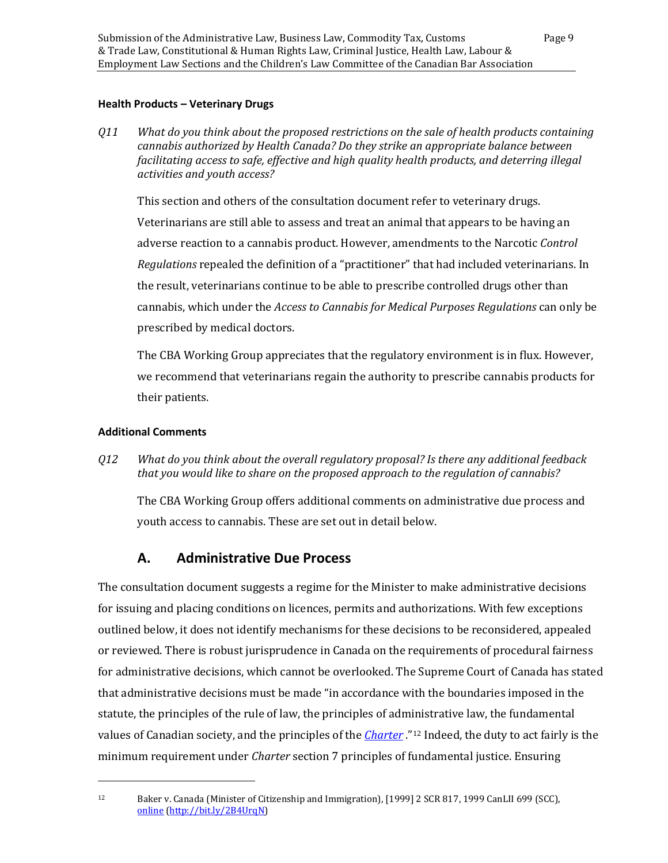#### <span id="page-12-0"></span>**Health Products – Veterinary Drugs**

*Q11 What do you think about the proposed restrictions on the sale of health products containing cannabis authorized by Health Canada? Do they strike an appropriate balance between facilitating access to safe, effective and high quality health products, and deterring illegal activities and youth access?*

This section and others of the consultation document refer to veterinary drugs. Veterinarians are still able to assess and treat an animal that appears to be having an adverse reaction to a cannabis product. However, amendments to the Narcotic *Control Regulations* repealed the definition of a "practitioner" that had included veterinarians. In the result, veterinarians continue to be able to prescribe controlled drugs other than cannabis, which under the *Access to Cannabis for Medical Purposes Regulations* can only be prescribed by medical doctors.

The CBA Working Group appreciates that the regulatory environment is in flux. However, we recommend that veterinarians regain the authority to prescribe cannabis products for their patients.

#### <span id="page-12-1"></span>**Additional Comments**

i<br>I

*Q12 What do you think about the overall regulatory proposal? Is there any additional feedback that you would like to share on the proposed approach to the regulation of cannabis?*

The CBA Working Group offers additional comments on administrative due process and youth access to cannabis. These are set out in detail below.

## **A. Administrative Due Process**

<span id="page-12-2"></span>The consultation document suggests a regime for the Minister to make administrative decisions for issuing and placing conditions on licences, permits and authorizations. With few exceptions outlined below, it does not identify mechanisms for these decisions to be reconsidered, appealed or reviewed. There is robust jurisprudence in Canada on the requirements of procedural fairness for administrative decisions, which cannot be overlooked. The Supreme Court of Canada has stated that administrative decisions must be made "in accordance with the boundaries imposed in the statute, the principles of the rule of law, the principles of administrative law, the fundamental values of Canadian society, and the principles of the *[Charter](https://www.canlii.org/en/ca/laws/stat/schedule-b-to-the-canada-act-1982-uk-1982-c-11/latest/schedule-b-to-the-canada-act-1982-uk-1982-c-11.html)* ."[12](#page-12-3) Indeed, the duty to act fairly is the minimum requirement under *Charter* section 7 principles of fundamental justice. Ensuring

<span id="page-12-3"></span><sup>12</sup> Baker v. Canada (Minister of Citizenship and Immigration), [1999] 2 SCR 817, 1999 CanLII 699 (SCC), [online](https://www.canlii.org/en/ca/scc/doc/1999/1999canlii699/1999canlii699.html?autocompleteStr=Baker&autocompletePos=1) [\(http://bit.ly/2B4UrqN\)](http://bit.ly/2B4UrqN)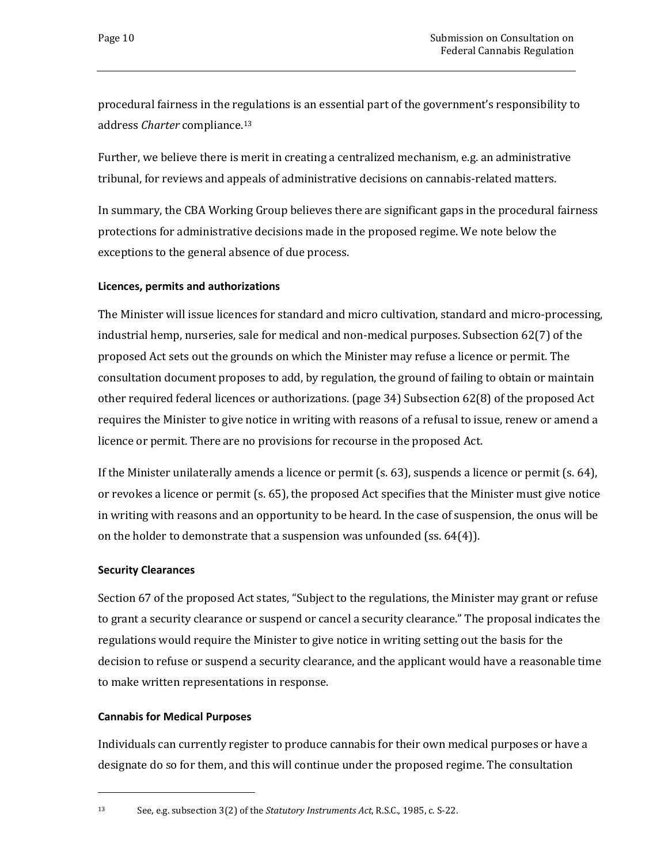procedural fairness in the regulations is an essential part of the government's responsibility to address *Charter* compliance.[13](#page-13-3)

Further, we believe there is merit in creating a centralized mechanism, e.g. an administrative tribunal, for reviews and appeals of administrative decisions on cannabis-related matters.

In summary, the CBA Working Group believes there are significant gaps in the procedural fairness protections for administrative decisions made in the proposed regime. We note below the exceptions to the general absence of due process.

#### <span id="page-13-0"></span>**Licences, permits and authorizations**

The Minister will issue licences for standard and micro cultivation, standard and micro-processing, industrial hemp, nurseries, sale for medical and non-medical purposes. Subsection 62(7) of the proposed Act sets out the grounds on which the Minister may refuse a licence or permit. The consultation document proposes to add, by regulation, the ground of failing to obtain or maintain other required federal licences or authorizations. (page 34) Subsection 62(8) of the proposed Act requires the Minister to give notice in writing with reasons of a refusal to issue, renew or amend a licence or permit. There are no provisions for recourse in the proposed Act.

If the Minister unilaterally amends a licence or permit (s. 63), suspends a licence or permit (s. 64), or revokes a licence or permit (s. 65), the proposed Act specifies that the Minister must give notice in writing with reasons and an opportunity to be heard. In the case of suspension, the onus will be on the holder to demonstrate that a suspension was unfounded (ss. 64(4)).

#### <span id="page-13-1"></span>**Security Clearances**

Section 67 of the proposed Act states, "Subject to the regulations, the Minister may grant or refuse to grant a security clearance or suspend or cancel a security clearance." The proposal indicates the regulations would require the Minister to give notice in writing setting out the basis for the decision to refuse or suspend a security clearance, and the applicant would have a reasonable time to make written representations in response.

#### <span id="page-13-2"></span>**Cannabis for Medical Purposes**

i<br>I

Individuals can currently register to produce cannabis for their own medical purposes or have a designate do so for them, and this will continue under the proposed regime. The consultation

<span id="page-13-3"></span><sup>13</sup> See, e.g. subsection 3(2) of the *Statutory Instruments Act*, R.S.C., 1985, c. S-22.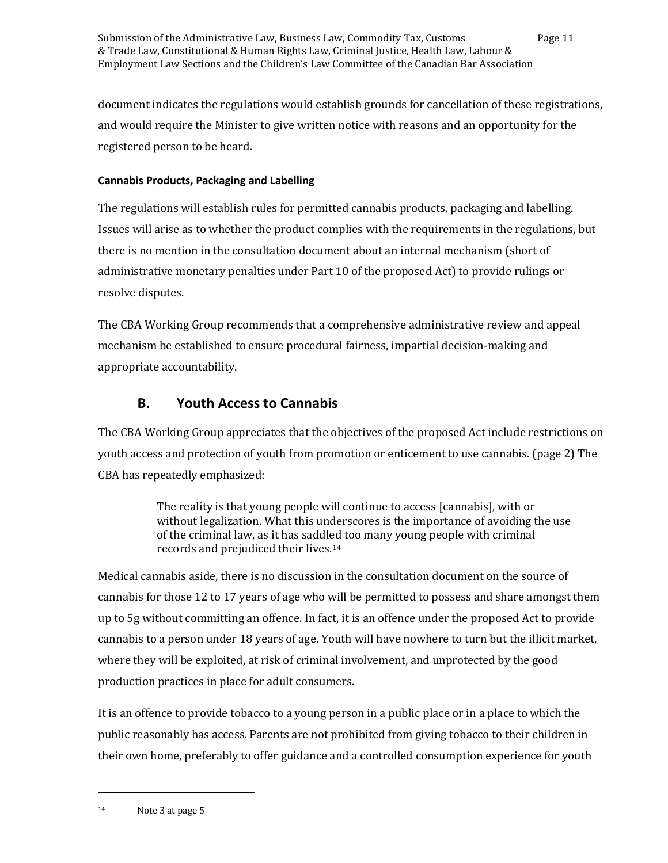document indicates the regulations would establish grounds for cancellation of these registrations, and would require the Minister to give written notice with reasons and an opportunity for the registered person to be heard.

#### <span id="page-14-0"></span>**Cannabis Products, Packaging and Labelling**

The regulations will establish rules for permitted cannabis products, packaging and labelling. Issues will arise as to whether the product complies with the requirements in the regulations, but there is no mention in the consultation document about an internal mechanism (short of administrative monetary penalties under Part 10 of the proposed Act) to provide rulings or resolve disputes.

The CBA Working Group recommends that a comprehensive administrative review and appeal mechanism be established to ensure procedural fairness, impartial decision-making and appropriate accountability.

## **B. Youth Access to Cannabis**

<span id="page-14-1"></span>The CBA Working Group appreciates that the objectives of the proposed Act include restrictions on youth access and protection of youth from promotion or enticement to use cannabis. (page 2) The CBA has repeatedly emphasized:

> The reality is that young people will continue to access [cannabis], with or without legalization. What this underscores is the importance of avoiding the use of the criminal law, as it has saddl[ed](#page-14-2) too many young people with criminal records and prejudiced their lives.14

Medical cannabis aside, there is no discussion in the consultation document on the source of cannabis for those 12 to 17 years of age who will be permitted to possess and share amongst them up to 5g without committing an offence. In fact, it is an offence under the proposed Act to provide cannabis to a person under 18 years of age. Youth will have nowhere to turn but the illicit market, where they will be exploited, at risk of criminal involvement, and unprotected by the good production practices in place for adult consumers.

<span id="page-14-2"></span>It is an offence to provide tobacco to a young person in a public place or in a place to which the public reasonably has access. Parents are not prohibited from giving tobacco to their children in their own home, preferably to offer guidance and a controlled consumption experience for youth